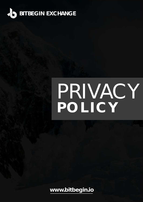

# PRIVACY **POLICY**

**[www.bitbegin.io](http://www.bitbegin.io)**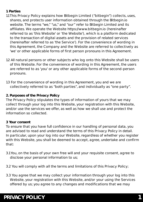- **1. Parties**
- 1.1 This Privacy Policy explains how Bitbegin Limited ("bitbegin") collects, uses, shares, and protects user information obtained through the Bitbegin.io website. The terms "we," "us," and "our" refer to Bitbegin Limited and its affiliates. We operate the Website https://www.bitbegin.io (hereinafter referred to as 'this Website' or 'the Website'), which is a platform dedicated to the transaction of digital assets and the provision of related services (hereinafter referred to as 'the Service'). For the convenience of wording in this Agreement, the Company and the Website are referred to collectively as 'we' or other applicable forms of first person pronouns in this Agreement.
- 1.2 All natural persons or other subjects who log onto this Website shall be users of this Website. For the convenience of wording in this Agreement, the users are referred to as 'you' or any other applicable forms of the second-person pronouns.
- 1.3 For the convenience of wording in this Agreement, you and we are collectively referred to as "both parties", and individually as "one party".

#### **2. Purposes of the Privacy Policy**

The Privacy Policy stipulates the types of information of yours that we may collect through your log into this Website, your registration with this Website, and/or use the services we offer, as well as how we shall use and protect the information so collected.

#### **3 Your consent**

To ensure that you have full confidence in our handling of personal data, you are advised to read and understand the terms of this Privacy Policy in detail. In particular, upon your log into our Website, regardless of whether you register with this Website, you shall be deemed to accept, agree, undertake and confirm that:

- 3.1 You, on the basis of your own free will and your requisite consent, agree to disclose your personal information to us;
- 3.2 You will comply with all the terms and limitations of this Privacy Policy;
- 3.3 You agree that we may collect your information through your log into this Website, your registration with this Website, and/or your using the Services offered by us; you agree to any changes and modifications that we may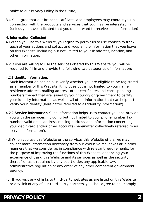make to our Privacy Policy in the future;

- 3.4 You agree that our branches, affiliates and employees may contact you in connection with the products and services that you may be interested in (unless you have indicated that you do not want to receive such information).
- **4. Information Collected**
- 4.1 When you use this Website, you agree to permit us to use cookies to track each of your actions and collect and keep all the information that you leave on this Website, including but not limited to your IP address, location, and other information.
- 4.2 If you are willing to use the services offered by this Website, you will be required to fill in and provide the following two categories of information:
- 4.2.1 **Identity Information.**

 Such information can help us verify whether you are eligible to be registered as a member of this Website. It includes but is not limited to your name, residence address, mailing address, other certificates and corresponding numbers thereof that are issued by your country or government to certify your identity information, as well as all other information that can help us to verify your identity (hereinafter referred to as 'identity information').

- 4.2.2 **Service information.** Such information helps us to contact you and provide you with the services, including but not limited to your phone number, fax number, valid email address, mailing address, and information concerning your debit card and/or other accounts (hereinafter collectively referred to as 'service information').
- 4.3 When you use this Website or the services this Website offers, we may collect more information necessary from our exclusive mailboxes or in other manners that we consider as in compliance with relevant requirements, for the purpose of improving the functions of this Website, enhancing your experience of using this Website and its services as well as the security thereof, or as is required by any court order, any applicable law, administrative regulation or any order of any other competent government agency.
- 4.4 If you visit any of links to third-party websites as are listed on this Website or any link of any of our third-party partners, you shall agree to and comply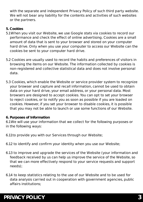with the separate and independent Privacy Policy of such third party website. We will not bear any liability for the contents and activities of such websites or the partners.

#### **5. Cookies**

- 5.1 When you visit our Website, we use Google stats via cookies to record our performance and check the effect of online advertising. Cookies are a small amount of data that is sent to your browser and stored on your computer hard drive. Only when you use your computer to access our Website can the cookies be sent to your computer hard drive.
- 5.2 Cookies are usually used to record the habits and preferences of visitors in browsing the items on our Website. The information collected by cookies is non-registered and collective statistical data and does not involve personal data.
- 5.3 Cookies, which enable the Website or service provider system to recognize your browser and capture and recall information, cannot be used to obtain data on your hard drive, your email address, or your personal data. Most browsers are designed to accept cookies. You can opt to set your browser to reject cookies, or to notify you as soon as possible if you are loaded on cookies. However, if you set your browser to disable cookies, it is possible that you may not be able to launch or use some functions of our Website.

#### **6. Purposes of Information**

6.1 We will use your information that we collect for the following purposes or in the following ways:

6.1.1 to provide you with our Services through our Website;

6.1.2 to identify and confirm your identity when you use our Website;

- 6.1.3 to improve and upgrade the services of the Website (your information and feedback received by us can help us improve the service of the Website, so that we can more effectively respond to your service requests and support needs);
- 6.1.4 to keep statistics relating to the use of our Website and to be used for data analysis carried out in cooperation with government agencies, public affairs institutions;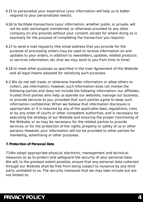- 6.1.5 to personalize your experience (your information will help us to better respond to your personalized needs);
- 6.1.6 to facilitate transactions (your information, whether public or private, will not be sold, exchanged, transferred, or otherwise provided to any other company on any grounds without your consent, except for where doing so is expressly for the purpose of completing the transaction you require);
- 6.1.7 to send e-mail regularly (the email address that you provide for the purpose of processing orders may be used to receive information on and updates to your orders, in addition to newsletters, updates, related products or services information, etc.,that we may send to you from time to time)
- 6.1.8 to meet other purposes as specified in the User Agreement of this Website and all legal means adopted for satisfying such purposes.
- 6.2 We do not sell, trade, or otherwise transfer information or allow others to collect, use information; however, such information does not involve the following parties and does not include the following information: our affiliates, trusted third parties who help us operate our websites, manage our business, or provide services to you, provided that such parties agree to keep such information confidential; When we believe that information disclosure is appropriate, or it is required by any of the applicable laws, regulations, rules or by any order of courts or other competent authorities, and is necessary for executing the strategy of our Website and ensuring the proper functioning of the Website, or as may be necessary for the related parties to provide services, or for the protection of the rights, property or safety of us or other persons. However, your information will not be provided to other parties for marketing, advertising or other purposes.
- **7. Protection of Personal Data**

7.1 We adopt appropriate physical, electronic, management and technical measures so as to protect and safeguard the security of your personal data. We will, to the greatest extent possible, ensure that any personal data collected through our Website shall be free from being subject to nuisance by any third party unrelated to us. The security measures that we may take include but are not limited to: